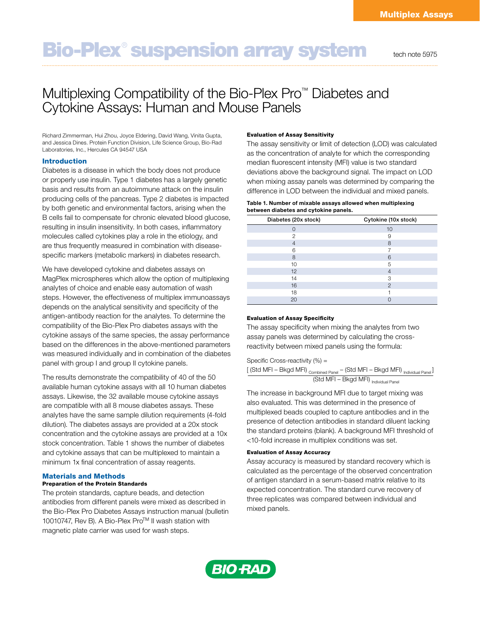# **Bio-Plex<sup>®</sup> suspension array system** tech note 5975

## Multiplexing Compatibility of the Bio-Plex Pro™ Diabetes and Cytokine Assays: Human and Mouse Panels

Richard Zimmerman, Hui Zhou, Joyce Eldering, David Wang, Vinita Gupta, and Jessica Dines. Protein Function Division, Life Science Group, Bio-Rad Laboratories, Inc., Hercules CA 94547 USA

#### Introduction

Diabetes is a disease in which the body does not produce or properly use insulin. Type 1 diabetes has a largely genetic basis and results from an autoimmune attack on the insulin producing cells of the pancreas. Type 2 diabetes is impacted by both genetic and environmental factors, arising when the B cells fail to compensate for chronic elevated blood glucose, resulting in insulin insensitivity. In both cases, inflammatory molecules called cytokines play a role in the etiology, and are thus frequently measured in combination with diseasespecific markers (metabolic markers) in diabetes research.

We have developed cytokine and diabetes assays on MagPlex microspheres which allow the option of multiplexing analytes of choice and enable easy automation of wash steps. However, the effectiveness of multiplex immunoassays depends on the analytical sensitivity and specificity of the antigen-antibody reaction for the analytes. To determine the compatibility of the Bio-Plex Pro diabetes assays with the cytokine assays of the same species, the assay performance based on the differences in the above-mentioned parameters was measured individually and in combination of the diabetes panel with group I and group II cytokine panels.

The results demonstrate the compatibility of 40 of the 50 available human cytokine assays with all 10 human diabetes assays. Likewise, the 32 available mouse cytokine assays are compatible with all 8 mouse diabetes assays. These analytes have the same sample dilution requirements (4-fold dilution). The diabetes assays are provided at a 20x stock concentration and the cytokine assays are provided at a 10x stock concentration. Table 1 shows the number of diabetes and cytokine assays that can be multiplexed to maintain a minimum 1x final concentration of assay reagents.

### Materials and Methods

#### Preparation of the Protein Standards

The protein standards, capture beads, and detection antibodies from different panels were mixed as described in the Bio-Plex Pro Diabetes Assays instruction manual (bulletin 10010747, Rev B). A Bio-Plex Pro™ II wash station with magnetic plate carrier was used for wash steps.

#### Evaluation of Assay Sensitivity

The assay sensitivity or limit of detection (LOD) was calculated as the concentration of analyte for which the corresponding median fluorescent intensity (MFI) value is two standard deviations above the background signal. The impact on LOD when mixing assay panels was determined by comparing the difference in LOD between the individual and mixed panels.

#### Table 1. Number of mixable assays allowed when multiplexing between diabetes and cytokine panels.

| Diabetes (20x stock) | Cytokine (10x stock) |
|----------------------|----------------------|
| ∩                    | 10                   |
| 2                    | 9                    |
| 4                    | 8                    |
| 6                    |                      |
| 8                    | 6                    |
| 10                   | 5                    |
| 12                   |                      |
| 14                   | 3                    |
| 16                   | $\mathfrak{p}$       |
| 18                   |                      |
| 20                   |                      |

#### Evaluation of Assay Specificity

The assay specificity when mixing the analytes from two assay panels was determined by calculating the crossreactivity between mixed panels using the formula:

Specific Cross-reactivity (%) =  $[\text{ (Std MFI}-Bkgd MFI)_{\text{ Combined Panel}}-\text{ (Std MFI}-Bkgd MFI)_{\text{ Individual Panel}}]$ (Std MFI – Bkgd MFI) Individual Panel

The increase in background MFI due to target mixing was also evaluated. This was determined in the presence of multiplexed beads coupled to capture antibodies and in the presence of detection antibodies in standard diluent lacking the standard proteins (blank). A background MFI threshold of <10-fold increase in multiplex conditions was set.

#### Evaluation of Assay Accuracy

Assay accuracy is measured by standard recovery which is calculated as the percentage of the observed concentration of antigen standard in a serum-based matrix relative to its expected concentration. The standard curve recovery of three replicates was compared between individual and mixed panels.

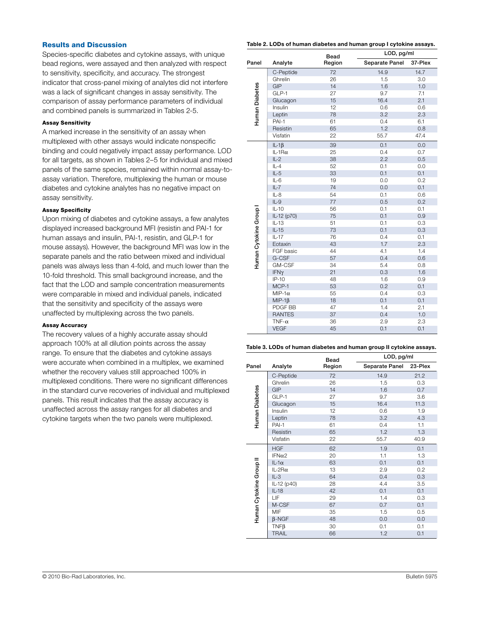#### Results and Discussion

Species-specific diabetes and cytokine assays, with unique bead regions, were assayed and then analyzed with respect to sensitivity, specificity, and accuracy. The strongest indicator that cross-panel mixing of analytes did not interfere was a lack of significant changes in assay sensitivity. The comparison of assay performance parameters of individual and combined panels is summarized in Tables 2-5.

#### Assay Sensitivity

A marked increase in the sensitivity of an assay when multiplexed with other assays would indicate nonspecific binding and could negatively impact assay performance. LOD for all targets, as shown in Tables 2–5 for individual and mixed panels of the same species, remained within normal assay-toassay variation. Therefore, multiplexing the human or mouse diabetes and cytokine analytes has no negative impact on assay sensitivity.

#### Assay Specificity

Upon mixing of diabetes and cytokine assays, a few analytes displayed increased background MFI (resistin and PAI-1 for human assays and insulin, PAI-1, resistin, and GLP-1 for mouse assays). However, the background MFI was low in the separate panels and the ratio between mixed and individual panels was always less than 4-fold, and much lower than the 10-fold threshold. This small background increase, and the fact that the LOD and sample concentration measurements were comparable in mixed and individual panels, indicated that the sensitivity and specificity of the assays were unaffected by multiplexing across the two panels.

#### Assay Accuracy

The recovery values of a highly accurate assay should approach 100% at all dilution points across the assay range. To ensure that the diabetes and cytokine assays were accurate when combined in a multiplex, we examined whether the recovery values still approached 100% in multiplexed conditions. There were no significant differences in the standard curve recoveries of individual and multiplexed panels. This result indicates that the assay accuracy is unaffected across the assay ranges for all diabetes and cytokine targets when the two panels were multiplexed.

|  |  | Table 2. LODs of human diabetes and human group I cytokine assays. |
|--|--|--------------------------------------------------------------------|
|--|--|--------------------------------------------------------------------|

|                       |                | Bead   | LOD, pg/ml     |         |
|-----------------------|----------------|--------|----------------|---------|
| Panel                 | Analyte        | Region | Separate Panel | 37-Plex |
| <b>Human Diabetes</b> | C-Peptide      | 72     | 14.9           | 14.7    |
|                       | Ghrelin        | 26     | 1.5            | 3.0     |
|                       | <b>GIP</b>     | 14     | 1.6            | 1.0     |
|                       | GLP-1          | 27     | 9.7            | 7.1     |
|                       | Glucagon       | 15     | 16.4           | 2.1     |
|                       | Insulin        | 12     | 0.6            | 0.6     |
|                       | Leptin         | 78     | 3.2            | 2.3     |
|                       | PAI-1          | 61     | 0.4            | 6.1     |
|                       | Resistin       | 65     | 1.2            | 0.8     |
|                       | Visfatin       | 22     | 55.7           | 47.4    |
|                       | $IL-1\beta$    | 39     | 0.1            | 0.0     |
|                       | IL-1 $R\alpha$ | 25     | 0.4            | 0.7     |
|                       | $IL-2$         | 38     | 2.2            | 0.5     |
|                       | $IL-4$         | 52     | 0.1            | 0.0     |
|                       | $IL-5$         | 33     | 0.1            | 0.1     |
|                       | $IL-6$         | 19     | 0.0            | 0.2     |
|                       | $IL-7$         | 74     | 0.0            | 0.1     |
|                       | $IL-8$         | 54     | 0.1            | 0.6     |
|                       | $IL-9$         | 77     | 0.5            | 0.2     |
|                       | $IL-10$        | 56     | 0.1            | 0.1     |
|                       | IL-12 (p70)    | 75     | 0.1            | 0.9     |
|                       | $IL-13$        | 51     | 0.1            | 0.3     |
|                       | $IL-15$        | 73     | 0.1            | 0.3     |
|                       | $IL-17$        | 76     | 0.4            | 0.1     |
|                       | Eotaxin        | 43     | 1.7            | 2.3     |
|                       | FGF basic      | 44     | 4.1            | 1.4     |
| Human Cytokine Group  | G-CSF          | 57     | 0.4            | 0.6     |
|                       | <b>GM-CSF</b>  | 34     | 5.4            | 0.8     |
|                       | IFNγ           | 21     | 0.3            | 1.6     |
|                       | $IP-10$        | 48     | 1.6            | 0.9     |
|                       | MCP-1          | 53     | 0.2            | 0.1     |
|                       | $MIP-1\alpha$  | 55     | 0.4            | 0.3     |
|                       | $MIP-1\beta$   | 18     | 0.1            | 0.1     |
|                       | PDGF BB        | 47     | 1.4            | 2.1     |
|                       | <b>RANTES</b>  | 37     | 0.4            | 1.0     |
|                       | TNF- $\alpha$  | 36     | 2.9            | 2.3     |
|                       | <b>VEGF</b>    | 45     | 0.1            | 0.1     |

|                         |                   | Bead   | LOD, pg/ml     |         |
|-------------------------|-------------------|--------|----------------|---------|
| Panel                   | Analyte           | Region | Separate Panel | 23-Plex |
| Human Diabetes          | C-Peptide         | 72     | 14.9           | 21.2    |
|                         | Ghrelin           | 26     | 1.5            | 0.3     |
|                         | <b>GIP</b>        | 14     | 1.6            | 0.7     |
|                         | $GLP-1$           | 27     | 9.7            | 3.6     |
|                         | Glucagon          | 15     | 16.4           | 11.3    |
|                         | Insulin           | 12     | 0.6            | 1.9     |
|                         | Leptin            | 78     | 3.2            | 4.3     |
|                         | PAI-1             | 61     | 0.4            | 1.1     |
|                         | Resistin          | 65     | 1.2            | 1.3     |
|                         | Visfatin          | 22     | 55.7           | 40.9    |
|                         | <b>HGF</b>        | 62     | 1.9            | 0.1     |
|                         | IFN <sub>α2</sub> | 20     | 1.1            | 1.3     |
|                         | $IL-1\alpha$      | 63     | 0.1            | 0.1     |
|                         | IL-2 $R\alpha$    | 13     | 2.9            | 0.2     |
|                         | $IL-3$            | 64     | 0.4            | 0.3     |
|                         | IL-12 (p40)       | 28     | 4.4            | 3.5     |
|                         | $IL-18$           | 42     | 0.1            | 0.1     |
|                         | LIF               | 29     | 1.4            | 0.3     |
| Human Cytokine Group II | M-CSF             | 67     | 0.7            | 0.1     |
|                         | <b>MIF</b>        | 35     | 1.5            | 0.5     |
|                         | $\beta$ -NGF      | 48     | 0.0            | 0.0     |
|                         | $TNF\beta$        | 30     | 0.1            | 0.1     |
|                         | <b>TRAIL</b>      | 66     | 1.2            | 0.1     |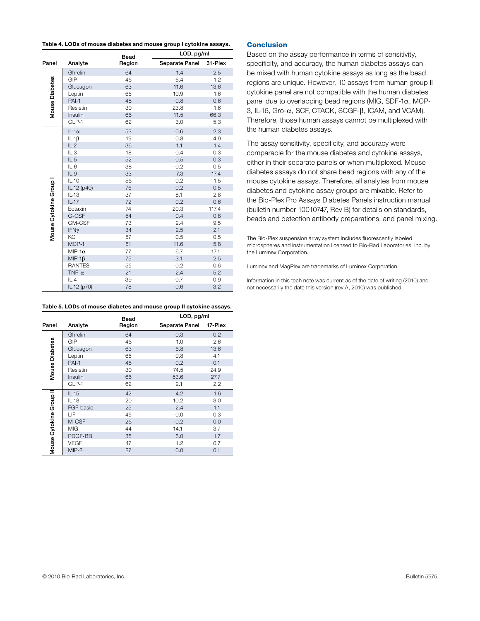|                       |               | <b>Bead</b> | LOD, pg/ml     |         |
|-----------------------|---------------|-------------|----------------|---------|
| Panel                 | Analyte       | Region      | Separate Panel | 31-Plex |
| <b>Mouse Diabetes</b> | Ghrelin       | 64          | 1.4            | 2.5     |
|                       | GIP           | 46          | 6.4            | 1.2     |
|                       | Glucagon      | 63          | 11.6           | 13.6    |
|                       | Leptin        | 65          | 10.9           | 1.6     |
|                       | $PAI-1$       | 48          | 0.8            | 0.6     |
|                       | Resistin      | 30          | 23.8           | 1.6     |
|                       | Insulin       | 66          | 11.5           | 66.3    |
|                       | GLP-1         | 62          | 3.0            | 5.3     |
|                       | $IL-1\alpha$  | 53          | 0.6            | 2.3     |
|                       | $IL-1\beta$   | 19          | 0.8            | 4.9     |
|                       | $IL-2$        | 36          | 1.1            | 1.4     |
|                       | $IL-3$        | 18          | 0.4            | 0.3     |
|                       | $IL-5$        | 52          | 0.5            | 0.3     |
|                       | $IL-6$        | 38          | 0.2            | 0.5     |
|                       | $IL-9$        | 33          | 7.3            | 17.4    |
|                       | $IL-10$       | 56          | 0.2            | 1.5     |
| Mouse Cytokine Group  | IL-12 (p40)   | 76          | 0.2            | 0.5     |
|                       | $IL-13$       | 37          | 8.1            | 2.8     |
|                       | $IL-17$       | 72          | 0.2            | 0.6     |
|                       | Eotaxin       | 74          | 20.3           | 117.4   |
|                       | G-CSF         | 54          | 0.4            | 0.8     |
|                       | GM-CSF        | 73          | 2.4            | 9.5     |
|                       | IFNγ          | 34          | 2.5            | 2.1     |
|                       | KC            | 57          | 0.5            | 0.5     |
|                       | MCP-1         | 51          | 11.6           | 5.8     |
|                       | $MIP-1\alpha$ | 77          | 6.7            | 17.1    |
|                       | $MIP-1\beta$  | 75          | 3.1            | 2.5     |
|                       | <b>RANTES</b> | 55          | 0.2            | 0.6     |
|                       | TNF- $\alpha$ | 21          | 2.4            | 5.2     |
|                       | $IL-4$        | 39          | 0.7            | 0.9     |
|                       | IL-12 (p70)   | 78          | 0.6            | 3.2     |

Table 5. LODs of mouse diabetes and mouse group II cytokine assays.

|                         |             | Bead   | LOD, pg/ml     |         |
|-------------------------|-------------|--------|----------------|---------|
| Panel                   | Analyte     | Region | Separate Panel | 17-Plex |
|                         | Ghrelin     | 64     | 0.3            | 0.2     |
|                         | GIP         | 46     | 1.0            | 2.6     |
|                         | Glucagon    | 63     | 6.8            | 13.6    |
|                         | Leptin      | 65     | 0.8            | 4.1     |
|                         | $PAI-1$     | 48     | 0.2            | 0.1     |
| <b>Mouse Diabetes</b>   | Resistin    | 30     | 74.5           | 24.9    |
|                         | Insulin     | 66     | 53.6           | 27.7    |
|                         | GLP-1       | 62     | 2.1            | 2.2     |
|                         | $IL-15$     | 42     | 4.2            | 1.6     |
|                         | $IL-18$     | 20     | 10.2           | 3.0     |
|                         | FGF-basic   | 25     | 2.4            | 1.1     |
|                         | LIF         | 45     | 0.0            | 0.3     |
|                         | M-CSF       | 26     | 0.2            | 0.0     |
|                         | <b>MIG</b>  | 44     | 14.1           | 3.7     |
|                         | PDGF-BB     | 35     | 6.0            | 1.7     |
|                         | <b>VEGF</b> | 47     | 1.2            | 0.7     |
| Mouse Cytokine Group II | $MIP-2$     | 27     | 0.0            | 0.1     |

#### **Conclusion**

Based on the assay performance in terms of sensitivity, specificity, and accuracy, the human diabetes assays can be mixed with human cytokine assays as long as the bead regions are unique. However, 10 assays from human group II cytokine panel are not compatible with the human diabetes panel due to overlapping bead regions (MIG, SDF-1 $\alpha$ , MCP-3, IL-16, Gro- $\alpha$ , SCF, CTACK, SCGF- $\beta$ , ICAM, and VCAM). Therefore, those human assays cannot be multiplexed with the human diabetes assays.

The assay sensitivity, specificity, and accuracy were comparable for the mouse diabetes and cytokine assays, either in their separate panels or when multiplexed. Mouse diabetes assays do not share bead regions with any of the mouse cytokine assays. Therefore, all analytes from mouse diabetes and cytokine assay groups are mixable. Refer to the Bio-Plex Pro Assays Diabetes Panels instruction manual (bulletin number 10010747, Rev B) for details on standards, beads and detection antibody preparations, and panel mixing.

The Bio-Plex suspension array system includes fluorescently labeled microspheres and instrumentation licensed to Bio-Rad Laboratories, Inc. by the Luminex Corporation.

Luminex and MagPlex are trademarks of Luminex Corporation.

Information in this tech note was current as of the date of writing (2010) and not necessarily the date this version (rev A, 2010) was published.